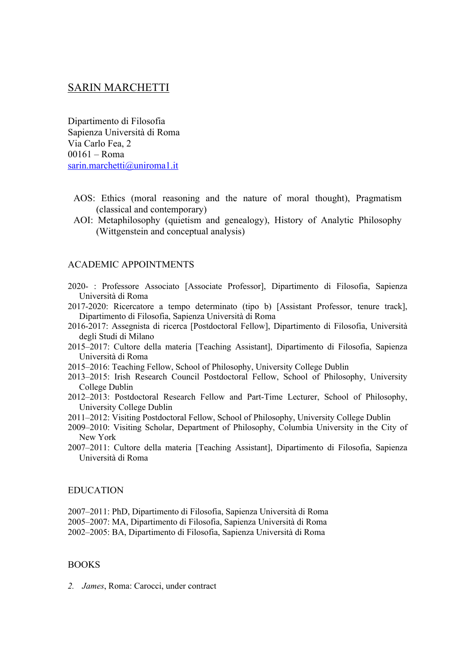# SARIN MARCHETTI

Dipartimento di Filosofia Sapienza Università di Roma Via Carlo Fea, 2 00161 – Roma sarin.marchetti@uniroma1.it

- AOS: Ethics (moral reasoning and the nature of moral thought), Pragmatism (classical and contemporary)
- AOI: Metaphilosophy (quietism and genealogy), History of Analytic Philosophy (Wittgenstein and conceptual analysis)

### ACADEMIC APPOINTMENTS

- 2020- : Professore Associato [Associate Professor], Dipartimento di Filosofia, Sapienza Università di Roma
- 2017-2020: Ricercatore a tempo determinato (tipo b) [Assistant Professor, tenure track], Dipartimento di Filosofia, Sapienza Università di Roma
- 2016-2017: Assegnista di ricerca [Postdoctoral Fellow], Dipartimento di Filosofia, Università degli Studi di Milano
- 2015–2017: Cultore della materia [Teaching Assistant], Dipartimento di Filosofia, Sapienza Università di Roma
- 2015–2016: Teaching Fellow, School of Philosophy, University College Dublin
- 2013–2015: Irish Research Council Postdoctoral Fellow, School of Philosophy, University College Dublin
- 2012–2013: Postdoctoral Research Fellow and Part-Time Lecturer, School of Philosophy, University College Dublin
- 2011–2012: Visiting Postdoctoral Fellow, School of Philosophy, University College Dublin
- 2009–2010: Visiting Scholar, Department of Philosophy, Columbia University in the City of New York
- 2007–2011: Cultore della materia [Teaching Assistant], Dipartimento di Filosofia, Sapienza Università di Roma

#### EDUCATION

2007–2011: PhD, Dipartimento di Filosofia, Sapienza Università di Roma 2005–2007: MA, Dipartimento di Filosofia, Sapienza Università di Roma 2002–2005: BA, Dipartimento di Filosofia, Sapienza Università di Roma

### BOOKS

*2. James*, Roma: Carocci, under contract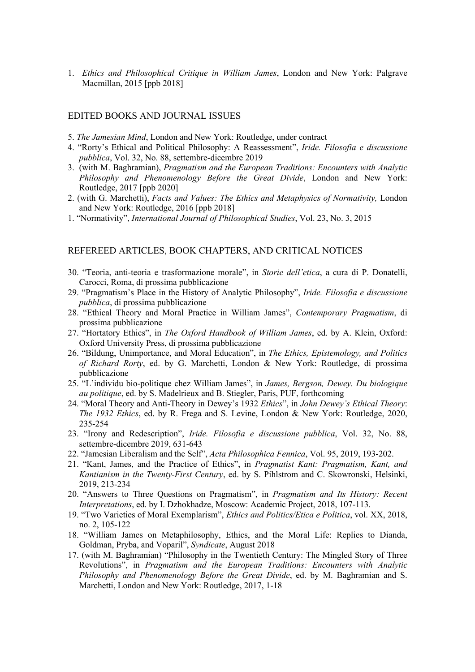1. *Ethics and Philosophical Critique in William James*, London and New York: Palgrave Macmillan, 2015 [ppb 2018]

#### EDITED BOOKS AND JOURNAL ISSUES

- 5. *The Jamesian Mind*, London and New York: Routledge, under contract
- 4. "Rorty's Ethical and Political Philosophy: A Reassessment", *Iride. Filosofia e discussione pubblica*, Vol. 32, No. 88, settembre-dicembre 2019
- 3. (with M. Baghramian), *Pragmatism and the European Traditions: Encounters with Analytic Philosophy and Phenomenology Before the Great Divide*, London and New York: Routledge, 2017 [ppb 2020]
- 2. (with G. Marchetti), *Facts and Values: The Ethics and Metaphysics of Normativity,* London and New York: Routledge, 2016 [ppb 2018]
- 1. "Normativity", *International Journal of Philosophical Studies*, Vol. 23, No. 3, 2015

### REFEREED ARTICLES, BOOK CHAPTERS, AND CRITICAL NOTICES

- 30. "Teoria, anti-teoria e trasformazione morale", in *Storie dell'etica*, a cura di P. Donatelli, Carocci, Roma, di prossima pubblicazione
- 29. "Pragmatism's Place in the History of Analytic Philosophy", *Iride. Filosofia e discussione pubblica*, di prossima pubblicazione
- 28. "Ethical Theory and Moral Practice in William James", *Contemporary Pragmatism*, di prossima pubblicazione
- 27. "Hortatory Ethics", in *The Oxford Handbook of William James*, ed. by A. Klein, Oxford: Oxford University Press, di prossima pubblicazione
- 26. "Bildung, Unimportance, and Moral Education", in *The Ethics, Epistemology, and Politics of Richard Rorty*, ed. by G. Marchetti, London & New York: Routledge, di prossima pubblicazione
- 25. "L'individu bio-politique chez William James", in *James, Bergson, Dewey. Du biologique au politique*, ed. by S. Madelrieux and B. Stiegler, Paris, PUF, forthcoming
- 24. "Moral Theory and Anti-Theory in Dewey's 1932 *Ethics*", in *John Dewey's Ethical Theory*: *The 1932 Ethics*, ed. by R. Frega and S. Levine, London & New York: Routledge, 2020, 235-254
- 23. "Irony and Redescription", *Iride. Filosofia e discussione pubblica*, Vol. 32, No. 88, settembre-dicembre 2019, 631-643
- 22. "Jamesian Liberalism and the Self", *Acta Philosophica Fennica*, Vol. 95, 2019, 193-202.
- 21. "Kant, James, and the Practice of Ethics", in *Pragmatist Kant: Pragmatism, Kant, and Kantianism in the Twenty-First Century*, ed. by S. Pihlstrom and C. Skowronski, Helsinki, 2019, 213-234
- 20. "Answers to Three Questions on Pragmatism", in *Pragmatism and Its History: Recent Interpretations*, ed. by I. Dzhokhadze, Moscow: Academic Project, 2018, 107-113.
- 19. "Two Varieties of Moral Exemplarism", *Ethics and Politics/Etica e Politica*, vol. XX, 2018, no. 2, 105-122
- 18. "William James on Metaphilosophy, Ethics, and the Moral Life: Replies to Dianda, Goldman, Pryba, and Voparil", *Syndicate*, August 2018
- 17. (with M. Baghramian) "Philosophy in the Twentieth Century: The Mingled Story of Three Revolutions", in *Pragmatism and the European Traditions: Encounters with Analytic Philosophy and Phenomenology Before the Great Divide*, ed. by M. Baghramian and S. Marchetti, London and New York: Routledge, 2017, 1-18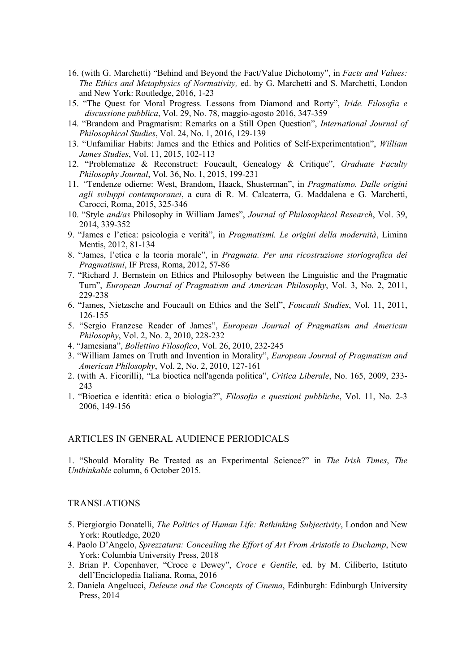- 16. (with G. Marchetti) "Behind and Beyond the Fact/Value Dichotomy", in *Facts and Values: The Ethics and Metaphysics of Normativity,* ed. by G. Marchetti and S. Marchetti, London and New York: Routledge, 2016, 1-23
- 15. "The Quest for Moral Progress. Lessons from Diamond and Rorty", *Iride. Filosofia e discussione pubblica*, Vol. 29, No. 78, maggio-agosto 2016, 347-359
- 14. "Brandom and Pragmatism: Remarks on a Still Open Question", *International Journal of Philosophical Studies*, Vol. 24, No. 1, 2016, 129-139
- 13. "Unfamiliar Habits: James and the Ethics and Politics of Self-Experimentation", *William James Studies*, Vol. 11, 2015, 102-113
- 12. "Problematize & Reconstruct: Foucault, Genealogy & Critique", *Graduate Faculty Philosophy Journal*, Vol. 36, No. 1, 2015, 199-231
- 11. *"*Tendenze odierne: West, Brandom, Haack, Shusterman", in *Pragmatismo. Dalle origini agli sviluppi contemporanei*, a cura di R. M. Calcaterra, G. Maddalena e G. Marchetti, Carocci, Roma, 2015, 325-346
- 10. "Style *and/as* Philosophy in William James", *Journal of Philosophical Research*, Vol. 39, 2014, 339-352
- 9. "James e l'etica: psicologia e verità", in *Pragmatismi. Le origini della modernità*, Limina Mentis, 2012, 81-134
- 8. "James, l'etica e la teoria morale", in *Pragmata. Per una ricostruzione storiografica dei Pragmatismi*, IF Press, Roma, 2012, 57-86
- 7. "Richard J. Bernstein on Ethics and Philosophy between the Linguistic and the Pragmatic Turn", *European Journal of Pragmatism and American Philosophy*, Vol. 3, No. 2, 2011, 229-238
- 6. "James, Nietzsche and Foucault on Ethics and the Self", *Foucault Studies*, Vol. 11, 2011, 126-155
- 5. "Sergio Franzese Reader of James", *European Journal of Pragmatism and American Philosophy*, Vol. 2, No. 2, 2010, 228-232
- 4. "Jamesiana", *Bollettino Filosofico*, Vol. 26, 2010, 232-245
- 3. "William James on Truth and Invention in Morality", *European Journal of Pragmatism and American Philosophy*, Vol. 2, No. 2, 2010, 127-161
- 2. (with A. Ficorilli), "La bioetica nell'agenda politica", *Critica Liberale*, No. 165, 2009, 233- 243
- 1. "Bioetica e identità: etica o biologia?", *Filosofia e questioni pubbliche*, Vol. 11, No. 2-3 2006, 149-156

### ARTICLES IN GENERAL AUDIENCE PERIODICALS

1. "Should Morality Be Treated as an Experimental Science?" in *The Irish Times*, *The Unthinkable* column, 6 October 2015.

### TRANSLATIONS

- 5. Piergiorgio Donatelli, *The Politics of Human Life: Rethinking Subjectivity*, London and New York: Routledge, 2020
- 4. Paolo D'Angelo, *Sprezzatura: Concealing the Effort of Art From Aristotle to Duchamp*, New York: Columbia University Press, 2018
- 3. Brian P. Copenhaver, "Croce e Dewey", *Croce e Gentile,* ed. by M. Ciliberto, Istituto dell'Enciclopedia Italiana, Roma, 2016
- 2. Daniela Angelucci, *Deleuze and the Concepts of Cinema*, Edinburgh: Edinburgh University Press, 2014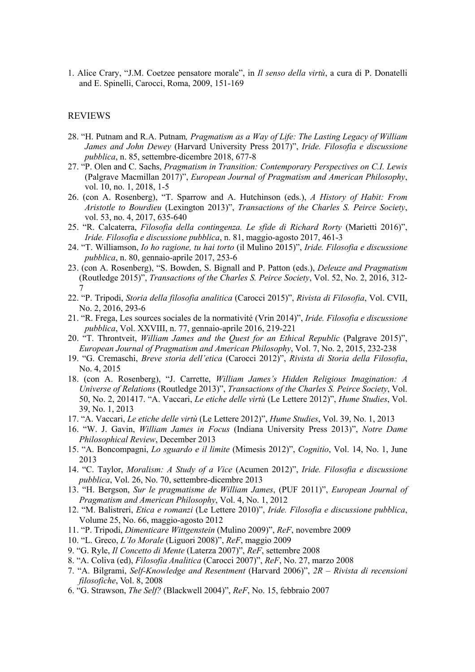1. Alice Crary, "J.M. Coetzee pensatore morale", in *Il senso della virtù*, a cura di P. Donatelli and E. Spinelli, Carocci, Roma, 2009, 151-169

### REVIEWS

- 28. "H. Putnam and R.A. Putnam*, Pragmatism as a Way of Life: The Lasting Legacy of William James and John Dewey* (Harvard University Press 2017)", *Iride. Filosofia e discussione pubblica*, n. 85, settembre-dicembre 2018, 677-8
- 27. "P. Olen and C. Sachs, *Pragmatism in Transition: Contemporary Perspectives on C.I. Lewis* (Palgrave Macmillan 2017)", *European Journal of Pragmatism and American Philosophy*, vol. 10, no. 1, 2018, 1-5
- 26. (con A. Rosenberg), "T. Sparrow and A. Hutchinson (eds.), *A History of Habit: From Aristotle to Bourdieu* (Lexington 2013)", *Transactions of the Charles S. Peirce Society*, vol. 53, no. 4, 2017, 635-640
- 25. "R. Calcaterra, *Filosofia della contingenza. Le sfide di Richard Rorty* (Marietti 2016)", *Iride. Filosofia e discussione pubblica*, n. 81, maggio-agosto 2017, 461-3
- 24. "T. Williamson, *Io ho ragione, tu hai torto* (il Mulino 2015)", *Iride. Filosofia e discussione pubblica*, n. 80, gennaio-aprile 2017, 253-6
- 23. (con A. Rosenberg), "S. Bowden, S. Bignall and P. Patton (eds.), *Deleuze and Pragmatism*  (Routledge 2015)", *Transactions of the Charles S. Peirce Society*, Vol. 52, No. 2, 2016, 312- 7
- 22. "P. Tripodi, *Storia della filosofia analitica* (Carocci 2015)", *Rivista di Filosofia*, Vol. CVII, No. 2, 2016, 293-6
- 21. "R. Frega, Les sources sociales de la normativité (Vrin 2014)", *Iride. Filosofia e discussione pubblica*, Vol. XXVIII, n. 77, gennaio-aprile 2016, 219-221
- 20. "T. Throntveit, *William James and the Quest for an Ethical Republic* (Palgrave 2015)", *European Journal of Pragmatism and American Philosophy*, Vol. 7, No. 2, 2015, 232-238
- 19. "G. Cremaschi, *Breve storia dell'etica* (Carocci 2012)", *Rivista di Storia della Filosofia*, No. 4, 2015
- 18. (con A. Rosenberg), "J. Carrette, *William James's Hidden Religious Imagination: A Universe of Relations* (Routledge 2013)", *Transactions of the Charles S. Peirce Society*, Vol. 50, No. 2, 201417. "A. Vaccari, *Le etiche delle virtù* (Le Lettere 2012)", *Hume Studies*, Vol. 39, No. 1, 2013
- 17. "A. Vaccari, *Le etiche delle virtù* (Le Lettere 2012)", *Hume Studies*, Vol. 39, No. 1, 2013
- 16. "W. J. Gavin, *William James in Focus* (Indiana University Press 2013)", *Notre Dame Philosophical Review*, December 2013
- 15. "A. Boncompagni, *Lo sguardo e il limite* (Mimesis 2012)", *Cognitio*, Vol. 14, No. 1, June 2013
- 14. "C. Taylor, *Moralism: A Study of a Vice* (Acumen 2012)", *Iride. Filosofia e discussione pubblica*, Vol. 26, No. 70, settembre-dicembre 2013
- 13. "H. Bergson, *Sur le pragmatisme de William James*, (PUF 2011)", *European Journal of Pragmatism and American Philosophy*, Vol. 4, No. 1, 2012
- 12. "M. Balistreri, *Etica e romanzi* (Le Lettere 2010)", *Iride. Filosofia e discussione pubblica*, Volume 25, No. 66, maggio-agosto 2012
- 11. "P. Tripodi, *Dimenticare Wittgenstein* (Mulino 2009)", *ReF*, novembre 2009
- 10. "L. Greco, *L'Io Morale* (Liguori 2008)", *ReF*, maggio 2009
- 9. "G. Ryle, *Il Concetto di Mente* (Laterza 2007)", *ReF*, settembre 2008
- 8. "A. Coliva (ed), *Filosofia Analitica* (Carocci 2007)", *ReF*, No. 27, marzo 2008
- 7. "A. Bilgrami, *Self-Knowledge and Resentment* (Harvard 2006)", *2R – Rivista di recensioni filosofiche*, Vol. 8, 2008
- 6. "G. Strawson, *The Self?* (Blackwell 2004)", *ReF*, No. 15, febbraio 2007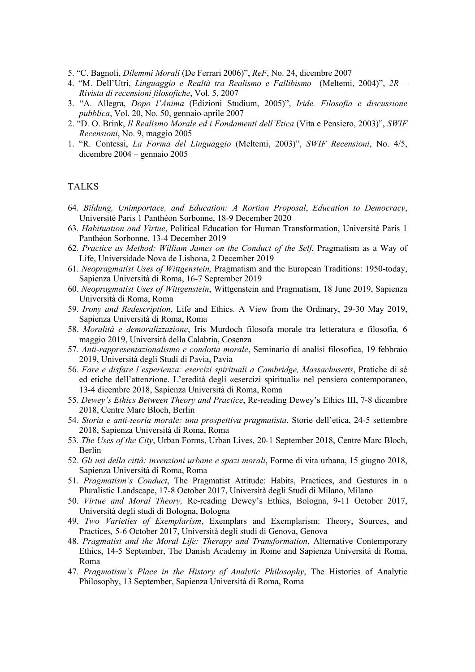- 5. "C. Bagnoli, *Dilemmi Morali* (De Ferrari 2006)", *ReF*, No. 24, dicembre 2007
- 4. "M. Dell'Utri, *Linguaggio e Realtà tra Realismo e Fallibismo* (Meltemi, 2004)", *2R – Rivista di recensioni filosofiche*, Vol. 5, 2007
- 3. "A. Allegra, *Dopo l'Anima* (Edizioni Studium, 2005)", *Iride. Filosofia e discussione pubblica*, Vol. 20, No. 50, gennaio-aprile 2007
- 2. "D. O. Brink, *Il Realismo Morale ed i Fondamenti dell'Etica* (Vita e Pensiero, 2003)", *SWIF Recensioni*, No. 9, maggio 2005
- 1. "R. Contessi, *La Forma del Linguaggio* (Meltemi, 2003)", *SWIF Recensioni*, No. 4/5, dicembre 2004 – gennaio 2005

### TALKS

- 64. *Bildung, Unimportace, and Education: A Rortian Proposal*, *Education to Democracy*, Université Paris 1 Panthéon Sorbonne, 18-9 December 2020
- 63. *Habituation and Virtue*, Political Education for Human Transformation, Université Paris 1 Panthéon Sorbonne, 13-4 December 2019
- 62. *Practice as Method: William James on the Conduct of the Self*, Pragmatism as a Way of Life, Universidade Nova de Lisbona, 2 December 2019
- 61. *Neopragmatist Uses of Wittgenstein,* Pragmatism and the European Traditions: 1950-today, Sapienza Università di Roma, 16-7 September 2019
- 60. *Neopragmatist Uses of Wittgenstein*, Wittgenstein and Pragmatism, 18 June 2019, Sapienza Università di Roma, Roma
- 59. *Irony and Redescription*, Life and Ethics. A View from the Ordinary, 29-30 May 2019, Sapienza Università di Roma, Roma
- 58. *Moralità e demoralizzazione*, Iris Murdoch filosofa morale tra letteratura e filosofia*,* 6 maggio 2019, Università della Calabria, Cosenza
- 57. *Anti-rappresentazionalismo e condotta morale*, Seminario di analisi filosofica, 19 febbraio 2019, Università degli Studi di Pavia, Pavia
- 56. *Fare e disfare l'esperienza: esercizi spirituali a Cambridge, Massachusetts*, Pratiche di sé ed etiche dell'attenzione. L'eredità degli «esercizi spirituali» nel pensiero contemporaneo, 13-4 dicembre 2018, Sapienza Università di Roma, Roma
- 55. *Dewey's Ethics Between Theory and Practice*, Re-reading Dewey's Ethics III, 7-8 dicembre 2018, Centre Marc Bloch, Berlin
- 54. *Storia e anti-teoria morale: una prospettiva pragmatista*, Storie dell'etica, 24-5 settembre 2018, Sapienza Università di Roma, Roma
- 53. *The Uses of the City*, Urban Forms, Urban Lives, 20-1 September 2018, Centre Marc Bloch, Berlin
- 52. *Gli usi della città: invenzioni urbane e spazi morali*, Forme di vita urbana, 15 giugno 2018, Sapienza Università di Roma, Roma
- 51. *Pragmatism's Conduct*, The Pragmatist Attitude: Habits, Practices, and Gestures in a Pluralistic Landscape, 17-8 October 2017, Università degli Studi di Milano, Milano
- 50. *Virtue and Moral Theory,* Re-reading Dewey's Ethics, Bologna, 9-11 October 2017, Università degli studi di Bologna, Bologna
- 49. *Two Varieties of Exemplarism*, Exemplars and Exemplarism: Theory, Sources, and Practices*,* 5-6 October 2017, Università degli studi di Genova, Genova
- 48. *Pragmatist and the Moral Life: Therapy and Transformation*, Alternative Contemporary Ethics, 14-5 September, The Danish Academy in Rome and Sapienza Università di Roma, Roma
- 47. *Pragmatism's Place in the History of Analytic Philosophy*, The Histories of Analytic Philosophy, 13 September, Sapienza Università di Roma, Roma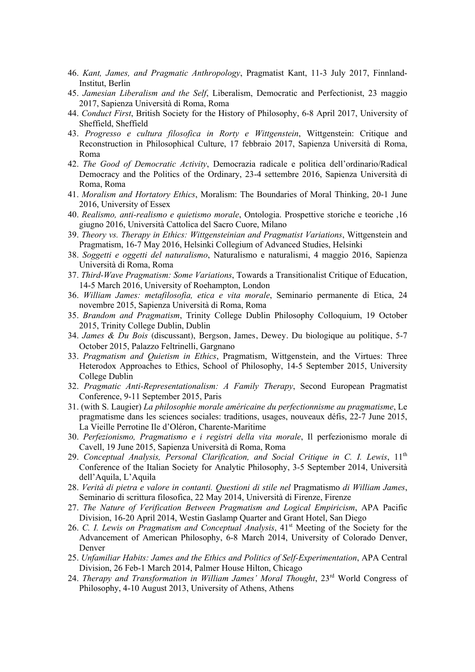- 46. *Kant, James, and Pragmatic Anthropology*, Pragmatist Kant, 11-3 July 2017, Finnland-Institut, Berlin
- 45. *Jamesian Liberalism and the Self*, Liberalism, Democratic and Perfectionist, 23 maggio 2017, Sapienza Università di Roma, Roma
- 44. *Conduct First*, British Society for the History of Philosophy, 6-8 April 2017, University of Sheffield, Sheffield
- 43. *Progresso e cultura filosofica in Rorty e Wittgenstein*, Wittgenstein: Critique and Reconstruction in Philosophical Culture, 17 febbraio 2017, Sapienza Università di Roma, Roma
- 42. *The Good of Democratic Activity*, Democrazia radicale e politica dell'ordinario/Radical Democracy and the Politics of the Ordinary, 23-4 settembre 2016, Sapienza Università di Roma, Roma
- 41. *Moralism and Hortatory Ethics*, Moralism: The Boundaries of Moral Thinking, 20-1 June 2016, University of Essex
- 40. *Realismo, anti-realismo e quietismo morale*, Ontologia. Prospettive storiche e teoriche ,16 giugno 2016, Università Cattolica del Sacro Cuore, Milano
- 39. *Theory vs. Therapy in Ethics: Wittgensteinian and Pragmatist Variations*, Wittgenstein and Pragmatism, 16-7 May 2016, Helsinki Collegium of Advanced Studies, Helsinki
- 38. *Soggetti e oggetti del naturalismo*, Naturalismo e naturalismi, 4 maggio 2016, Sapienza Università di Roma, Roma
- 37. *Third-Wave Pragmatism: Some Variations*, Towards a Transitionalist Critique of Education, 14-5 March 2016, University of Roehampton, London
- 36. *William James: metafilosofia, etica e vita morale*, Seminario permanente di Etica, 24 novembre 2015, Sapienza Università di Roma, Roma
- 35. *Brandom and Pragmatism*, Trinity College Dublin Philosophy Colloquium, 19 October 2015, Trinity College Dublin, Dublin
- 34. *James & Du Bois* (discussant), Bergson, James, Dewey. Du biologique au politique, 5-7 October 2015, Palazzo Feltrinelli, Gargnano
- 33. *Pragmatism and Quietism in Ethics*, Pragmatism, Wittgenstein, and the Virtues: Three Heterodox Approaches to Ethics, School of Philosophy, 14-5 September 2015, University College Dublin
- 32. *Pragmatic Anti-Representationalism: A Family Therapy*, Second European Pragmatist Conference, 9-11 September 2015, Paris
- 31. (with S. Laugier) *La philosophie morale américaine du perfectionnisme au pragmatisme*, Le pragmatisme dans les sciences sociales: traditions, usages, nouveaux défis, 22-7 June 2015, La Vieille Perrotine Ile d'Oléron, Charente-Maritime
- 30. *Perfezionismo, Pragmatismo e i registri della vita morale*, Il perfezionismo morale di Cavell, 19 June 2015, Sapienza Università di Roma, Roma
- 29. *Conceptual Analysis, Personal Clarification, and Social Critique in C. I. Lewis*, 11th Conference of the Italian Society for Analytic Philosophy, 3-5 September 2014, Università dell'Aquila, L'Aquila
- 28. *Verità di pietra e valore in contanti. Questioni di stile nel* Pragmatismo *di William James*, Seminario di scrittura filosofica, 22 May 2014, Università di Firenze, Firenze
- 27. *The Nature of Verification Between Pragmatism and Logical Empiricism*, APA Pacific Division, 16-20 April 2014, Westin Gaslamp Quarter and Grant Hotel, San Diego
- 26. *C. I. Lewis on Pragmatism and Conceptual Analysis*, 41st Meeting of the Society for the Advancement of American Philosophy, 6-8 March 2014, University of Colorado Denver, Denver
- 25. *Unfamiliar Habits: James and the Ethics and Politics of Self-Experimentation*, APA Central Division, 26 Feb-1 March 2014, Palmer House Hilton, Chicago
- 24. *Therapy and Transformation in William James' Moral Thought*, 23rd World Congress of Philosophy, 4-10 August 2013, University of Athens, Athens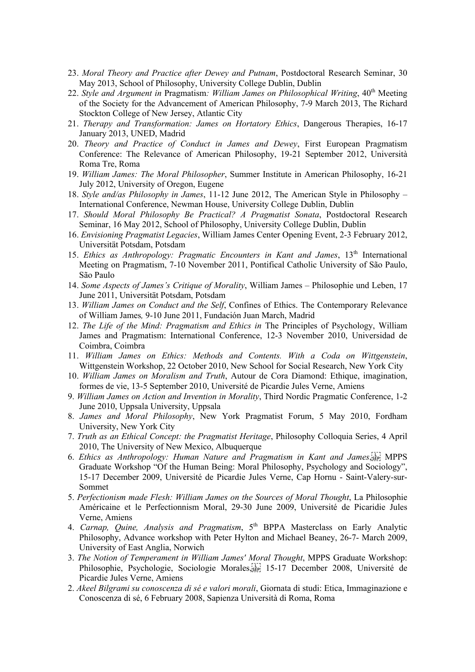- 23. *Moral Theory and Practice after Dewey and Putnam*, Postdoctoral Research Seminar, 30 May 2013, School of Philosophy, University College Dublin, Dublin
- 22. Style and Argument in Pragmatism: William James on Philosophical Writing, 40<sup>th</sup> Meeting of the Society for the Advancement of American Philosophy, 7-9 March 2013, The Richard Stockton College of New Jersey, Atlantic City
- 21. *Therapy and Transformation: James on Hortatory Ethics*, Dangerous Therapies, 16-17 January 2013, UNED, Madrid
- 20. *Theory and Practice of Conduct in James and Dewey*, First European Pragmatism Conference: The Relevance of American Philosophy, 19-21 September 2012, Università Roma Tre, Roma
- 19. *William James: The Moral Philosopher*, Summer Institute in American Philosophy, 16-21 July 2012, University of Oregon, Eugene
- 18. *Style and/as Philosophy in James*, 11-12 June 2012, The American Style in Philosophy International Conference, Newman House, University College Dublin, Dublin
- 17. *Should Moral Philosophy Be Practical? A Pragmatist Sonata*, Postdoctoral Research Seminar, 16 May 2012, School of Philosophy, University College Dublin, Dublin
- 16. *Envisioning Pragmatist Legacies*, William James Center Opening Event, 2-3 February 2012, Universität Potsdam, Potsdam
- 15. *Ethics as Anthropology: Pragmatic Encounters in Kant and James*, 13<sup>th</sup> International Meeting on Pragmatism, 7-10 November 2011, Pontifical Catholic University of São Paulo, São Paulo
- 14. *Some Aspects of James's Critique of Morality*, William James Philosophie und Leben, 17 June 2011, Universität Potsdam, Potsdam
- 13. *William James on Conduct and the Self*, Confines of Ethics. The Contemporary Relevance of William James*,* 9-10 June 2011, Fundación Juan March, Madrid
- 12. *The Life of the Mind: Pragmatism and Ethics in* The Principles of Psychology, William James and Pragmatism: International Conference, 12-3 November 2010, Universidad de Coimbra, Coimbra
- 11. *William James on Ethics: Methods and Contents. With a Coda on Wittgenstein*, Wittgenstein Workshop, 22 October 2010, New School for Social Research, New York City
- 10. *William James on Moralism and Truth*, Autour de Cora Diamond: Ethique, imagination, formes de vie, 13-5 September 2010, Université de Picardie Jules Verne, Amiens
- 9. *William James on Action and Invention in Morality*, Third Nordic Pragmatic Conference, 1-2 June 2010, Uppsala University, Uppsala
- 8. *James and Moral Philosophy*, New York Pragmatist Forum, 5 May 2010, Fordham University, New York City
- 7. *Truth as an Ethical Concept: the Pragmatist Heritage*, Philosophy Colloquia Series, 4 April 2010, The University of New Mexico, Albuquerque
- 6. *Ethics as Anthropology: Human Nature and Pragmatism in Kant and James*,  $\overline{S}$  MPPS Graduate Workshop "Of the Human Being: Moral Philosophy, Psychology and Sociology", 15-17 December 2009, Université de Picardie Jules Verne, Cap Hornu - Saint-Valery-sur-Sommet
- 5. *Perfectionism made Flesh: William James on the Sources of Moral Thought*, La Philosophie Américaine et le Perfectionnism Moral, 29-30 June 2009, Université de Picaridie Jules Verne, Amiens
- 4. *Carnap, Quine, Analysis and Pragmatism*, 5<sup>th</sup> BPPA Masterclass on Early Analytic Philosophy, Advance workshop with Peter Hylton and Michael Beaney, 26-7- March 2009, University of East Anglia, Norwich
- 3. *The Notion of Temperament in William James' Moral Thought*, MPPS Graduate Workshop: Philosophie, Psychologie, Sociologie Morales, <sup>[17]</sup> 15-17 December 2008, Université de Picardie Jules Verne, Amiens
- 2. *Akeel Bilgrami su conoscenza di sé e valori morali*, Giornata di studi: Etica, Immaginazione e Conoscenza di sé, 6 February 2008, Sapienza Università di Roma, Roma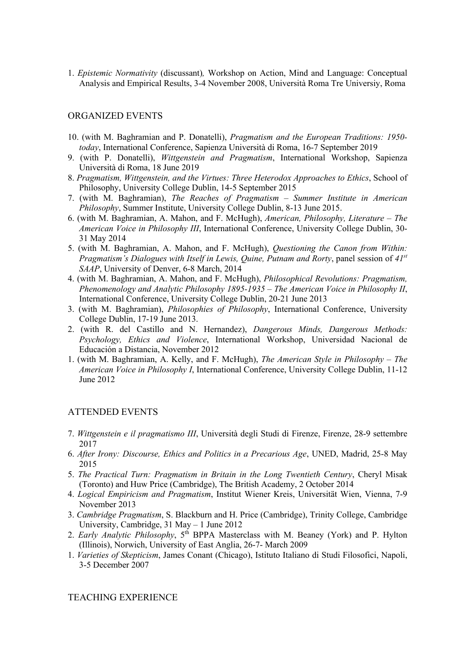1. *Epistemic Normativity* (discussant)*,* Workshop on Action, Mind and Language: Conceptual Analysis and Empirical Results, 3-4 November 2008, Università Roma Tre Universiy, Roma

### ORGANIZED EVENTS

- 10. (with M. Baghramian and P. Donatelli), *Pragmatism and the European Traditions: 1950 today*, International Conference, Sapienza Università di Roma, 16-7 September 2019
- 9. (with P. Donatelli), *Wittgenstein and Pragmatism*, International Workshop, Sapienza Università di Roma, 18 June 2019
- 8. *Pragmatism, Wittgenstein, and the Virtues: Three Heterodox Approaches to Ethics*, School of Philosophy, University College Dublin, 14-5 September 2015
- 7. (with M. Baghramian), *The Reaches of Pragmatism – Summer Institute in American Philosophy*, Summer Institute, University College Dublin, 8-13 June 2015.
- 6. (with M. Baghramian, A. Mahon, and F. McHugh), *American, Philosophy, Literature The American Voice in Philosophy III*, International Conference, University College Dublin, 30- 31 May 2014
- 5. (with M. Baghramian, A. Mahon, and F. McHugh), *Questioning the Canon from Within: Pragmatism's Dialogues with Itself in Lewis, Quine, Putnam and Rorty*, panel session of *41st SAAP*, University of Denver, 6-8 March, 2014
- 4. (with M. Baghramian, A. Mahon, and F. McHugh), *Philosophical Revolutions: Pragmatism, Phenomenology and Analytic Philosophy 1895-1935* – *The American Voice in Philosophy II*, International Conference, University College Dublin, 20-21 June 2013
- 3. (with M. Baghramian), *Philosophies of Philosophy*, International Conference, University College Dublin, 17-19 June 2013.
- 2. (with R. del Castillo and N. Hernandez), *Dangerous Minds, Dangerous Methods: Psychology, Ethics and Violence*, International Workshop, Universidad Nacional de Educación a Distancia, November 2012
- 1. (with M. Baghramian, A. Kelly, and F. McHugh), *The American Style in Philosophy The American Voice in Philosophy I*, International Conference, University College Dublin, 11-12 June 2012

### ATTENDED EVENTS

- 7. *Wittgenstein e il pragmatismo III*, Università degli Studi di Firenze, Firenze, 28-9 settembre 2017
- 6. *After Irony: Discourse, Ethics and Politics in a Precarious Age*, UNED, Madrid, 25-8 May 2015
- 5. *The Practical Turn: Pragmatism in Britain in the Long Twentieth Century*, Cheryl Misak (Toronto) and Huw Price (Cambridge), The British Academy, 2 October 2014
- 4. *Logical Empiricism and Pragmatism*, Institut Wiener Kreis, Universität Wien, Vienna, 7-9 November 2013
- 3. *Cambridge Pragmatism*, S. Blackburn and H. Price (Cambridge), Trinity College, Cambridge University, Cambridge, 31 May – 1 June 2012
- 2. *Early Analytic Philosophy*, 5<sup>th</sup> BPPA Masterclass with M. Beaney (York) and P. Hylton (Illinois), Norwich, University of East Anglia, 26-7- March 2009
- 1. *Varieties of Skepticism*, James Conant (Chicago), Istituto Italiano di Studi Filosofici, Napoli, 3-5 December 2007

### TEACHING EXPERIENCE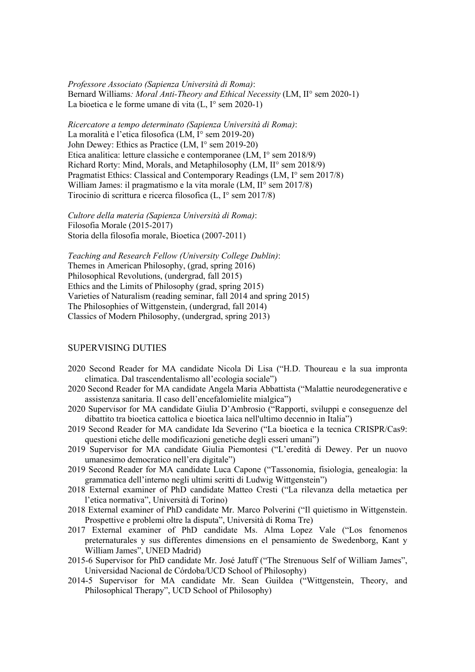*Professore Associato (Sapienza Università di Roma)*: Bernard Williams*: Moral Anti-Theory and Ethical Necessity* (LM, II° sem 2020-1) La bioetica e le forme umane di vita (L, I° sem 2020-1)

*Ricercatore a tempo determinato (Sapienza Università di Roma)*: La moralità e l'etica filosofica (LM, I° sem 2019-20) John Dewey: Ethics as Practice (LM, I° sem 2019-20) Etica analitica: letture classiche e contemporanee (LM, I° sem 2018/9) Richard Rorty: Mind, Morals, and Metaphilosophy (LM, II° sem 2018/9) Pragmatist Ethics: Classical and Contemporary Readings (LM, I° sem 2017/8) William James: il pragmatismo e la vita morale (LM, II° sem 2017/8) Tirocinio di scrittura e ricerca filosofica (L, I° sem 2017/8)

*Cultore della materia (Sapienza Università di Roma)*: Filosofia Morale (2015-2017) Storia della filosofia morale, Bioetica (2007-2011)

*Teaching and Research Fellow (University College Dublin)*: Themes in American Philosophy, (grad, spring 2016) Philosophical Revolutions, (undergrad, fall 2015) Ethics and the Limits of Philosophy (grad, spring 2015) Varieties of Naturalism (reading seminar, fall 2014 and spring 2015) The Philosophies of Wittgenstein, (undergrad, fall 2014) Classics of Modern Philosophy, (undergrad, spring 2013)

## SUPERVISING DUTIES

- 2020 Second Reader for MA candidate Nicola Di Lisa ("H.D. Thoureau e la sua impronta climatica. Dal trascendentalismo all'ecologia sociale")
- 2020 Second Reader for MA candidate Angela Maria Abbattista ("Malattie neurodegenerative e assistenza sanitaria. Il caso dell'encefalomielite mialgica")
- 2020 Supervisor for MA candidate Giulia D'Ambrosio ("Rapporti, sviluppi e conseguenze del dibattito tra bioetica cattolica e bioetica laica nell'ultimo decennio in Italia")
- 2019 Second Reader for MA candidate Ida Severino ("La bioetica e la tecnica CRISPR/Cas9: questioni etiche delle modificazioni genetiche degli esseri umani")
- 2019 Supervisor for MA candidate Giulia Piemontesi ("L'eredità di Dewey. Per un nuovo umanesimo democratico nell'era digitale")
- 2019 Second Reader for MA candidate Luca Capone ("Tassonomia, fisiologia, genealogia: la grammatica dell'interno negli ultimi scritti di Ludwig Wittgenstein")
- 2018 External examiner of PhD candidate Matteo Cresti ("La rilevanza della metaetica per l'etica normativa", Università di Torino)
- 2018 External examiner of PhD candidate Mr. Marco Polverini ("Il quietismo in Wittgenstein. Prospettive e problemi oltre la disputa", Università di Roma Tre)
- 2017 External examiner of PhD candidate Ms. Alma Lopez Vale ("Los fenomenos preternaturales y sus differentes dimensions en el pensamiento de Swedenborg, Kant y William James", UNED Madrid)
- 2015-6 Supervisor for PhD candidate Mr. José Jatuff ("The Strenuous Self of William James", Universidad Nacional de Córdoba/UCD School of Philosophy)
- 2014-5 Supervisor for MA candidate Mr. Sean Guildea ("Wittgenstein, Theory, and Philosophical Therapy", UCD School of Philosophy)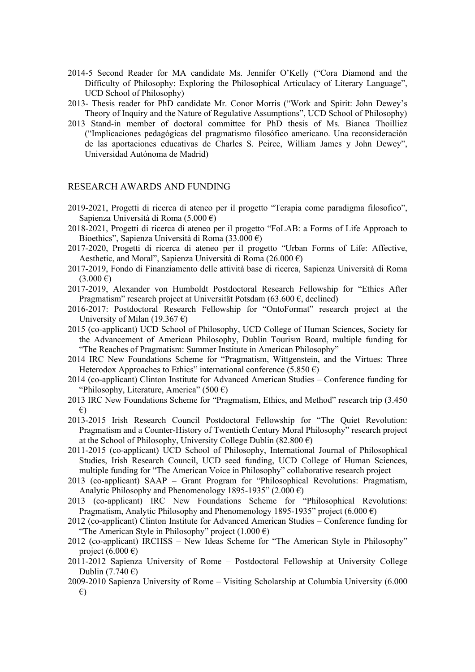- 2014-5 Second Reader for MA candidate Ms. Jennifer O'Kelly ("Cora Diamond and the Difficulty of Philosophy: Exploring the Philosophical Articulacy of Literary Language", UCD School of Philosophy)
- 2013- Thesis reader for PhD candidate Mr. Conor Morris ("Work and Spirit: John Dewey's Theory of Inquiry and the Nature of Regulative Assumptions", UCD School of Philosophy)
- 2013 Stand-in member of doctoral committee for PhD thesis of Ms. Bianca Thoilliez ("Implicaciones pedagógicas del pragmatismo filosófico americano. Una reconsideración de las aportaciones educativas de Charles S. Peirce, William James y John Dewey", Universidad Autónoma de Madrid)

### RESEARCH AWARDS AND FUNDING

- 2019-2021, Progetti di ricerca di ateneo per il progetto "Terapia come paradigma filosofico", Sapienza Università di Roma (5.000 €)
- 2018-2021, Progetti di ricerca di ateneo per il progetto "FoLAB: a Forms of Life Approach to Bioethics", Sapienza Università di Roma (33.000 €)
- 2017-2020, Progetti di ricerca di ateneo per il progetto "Urban Forms of Life: Affective, Aesthetic, and Moral", Sapienza Università di Roma (26.000 €)
- 2017-2019, Fondo di Finanziamento delle attività base di ricerca, Sapienza Università di Roma  $(3.000 \text{ } \in)$
- 2017-2019, Alexander von Humboldt Postdoctoral Research Fellowship for "Ethics After Pragmatism" research project at Universität Potsdam (63.600  $\epsilon$ , declined)
- 2016-2017: Postdoctoral Research Fellowship for "OntoFormat" research project at the University of Milan (19.367 $\epsilon$ )
- 2015 (co-applicant) UCD School of Philosophy, UCD College of Human Sciences, Society for the Advancement of American Philosophy, Dublin Tourism Board, multiple funding for "The Reaches of Pragmatism: Summer Institute in American Philosophy"
- 2014 IRC New Foundations Scheme for "Pragmatism, Wittgenstein, and the Virtues: Three Heterodox Approaches to Ethics" international conference (5.850  $\epsilon$ )
- 2014 (co-applicant) Clinton Institute for Advanced American Studies Conference funding for "Philosophy, Literature, America" (500 €)
- 2013 IRC New Foundations Scheme for "Pragmatism, Ethics, and Method" research trip (3.450 €)
- 2013-2015 Irish Research Council Postdoctoral Fellowship for "The Quiet Revolution: Pragmatism and a Counter-History of Twentieth Century Moral Philosophy" research project at the School of Philosophy, University College Dublin (82.800  $\epsilon$ )
- 2011-2015 (co-applicant) UCD School of Philosophy, International Journal of Philosophical Studies, Irish Research Council, UCD seed funding, UCD College of Human Sciences, multiple funding for "The American Voice in Philosophy" collaborative research project
- 2013 (co-applicant) SAAP Grant Program for "Philosophical Revolutions: Pragmatism, Analytic Philosophy and Phenomenology 1895-1935" (2.000  $\epsilon$ )
- 2013 (co-applicant) IRC New Foundations Scheme for "Philosophical Revolutions: Pragmatism, Analytic Philosophy and Phenomenology 1895-1935" project  $(6.000 \text{ } \epsilon)$
- 2012 (co-applicant) Clinton Institute for Advanced American Studies Conference funding for "The American Style in Philosophy" project  $(1.000 \epsilon)$
- 2012 (co-applicant) IRCHSS New Ideas Scheme for "The American Style in Philosophy" project  $(6.000 \text{ } \in)$
- 2011-2012 Sapienza University of Rome Postdoctoral Fellowship at University College Dublin  $(7.740 \epsilon)$
- 2009-2010 Sapienza University of Rome Visiting Scholarship at Columbia University (6.000 €)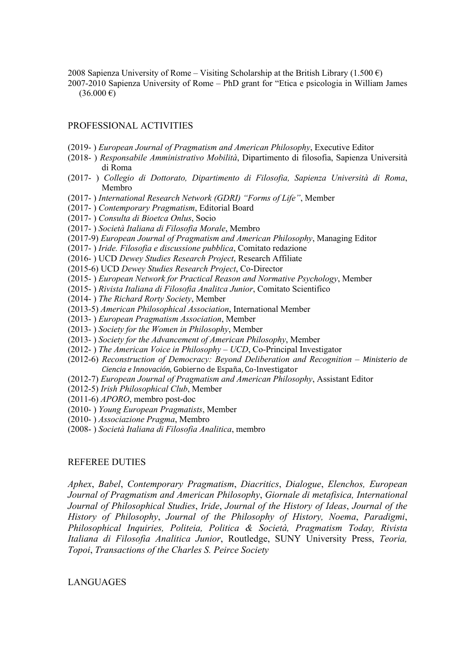2008 Sapienza University of Rome – Visiting Scholarship at the British Library (1.500  $\epsilon$ ) 2007-2010 Sapienza University of Rome – PhD grant for "Etica e psicologia in William James  $(36.000 \text{ } \in)$ 

## PROFESSIONAL ACTIVITIES

- (2019- ) *European Journal of Pragmatism and American Philosophy*, Executive Editor
- (2018- ) *Responsabile Amministrativo Mobilità*, Dipartimento di filosofia, Sapienza Università di Roma
- (2017- ) *Collegio di Dottorato, Dipartimento di Filosofia, Sapienza Università di Roma*, Membro
- (2017- ) *International Research Network (GDRI) "Forms of Life"*, Member
- (2017- ) *Contemporary Pragmatism*, Editorial Board
- (2017- ) *Consulta di Bioetca Onlus*, Socio
- (2017- ) *Società Italiana di Filosofia Morale*, Membro
- (2017-9) *European Journal of Pragmatism and American Philosophy*, Managing Editor
- (2017- ) *Iride. Filosofia e discussione pubblica*, Comitato redazione
- (2016- ) UCD *Dewey Studies Research Project*, Research Affiliate
- (2015-6) UCD *Dewey Studies Research Project*, Co-Director
- (2015- ) *European Network for Practical Reason and Normative Psychology*, Member
- (2015- ) *Rivista Italiana di Filosofia Analitca Junior*, Comitato Scientifico
- (2014- ) *The Richard Rorty Society*, Member
- (2013-5) *American Philosophical Association*, International Member
- (2013- ) *European Pragmatism Association*, Member
- (2013- ) *Society for the Women in Philosophy*, Member
- (2013- ) *Society for the Advancement of American Philosophy*, Member
- (2012- ) *The American Voice in Philosophy – UCD*, Co-Principal Investigator
- (2012-6) *Reconstruction of Democracy: Beyond Deliberation and Recognition Ministerio de Ciencia e Innovación*, Gobierno de España, Co-Investigator
- (2012-7) *European Journal of Pragmatism and American Philosophy*, Assistant Editor
- (2012-5) *Irish Philosophical Club*, Member
- (2011-6) *APORO*, membro post-doc
- (2010- ) *Young European Pragmatists*, Member
- (2010- ) *Associazione Pragma*, Membro
- (2008- ) *Società Italiana di Filosofia Analitica*, membro

## REFEREE DUTIES

*Aphex*, *Babel*, *Contemporary Pragmatism*, *Diacritics*, *Dialogue*, *Elenchos, European Journal of Pragmatism and American Philosophy*, *Giornale di metafisica, International Journal of Philosophical Studies*, *Iride*, *Journal of the History of Ideas*, *Journal of the History of Philosophy*, *Journal of the Philosophy of History, Noema*, *Paradigmi*, *Philosophical Inquiries, Politeia, Politica & Società, Pragmatism Today, Rivista Italiana di Filosofia Analitica Junior*, Routledge, SUNY University Press, *Teoria, Topoi*, *Transactions of the Charles S. Peirce Society*

### LANGUAGES